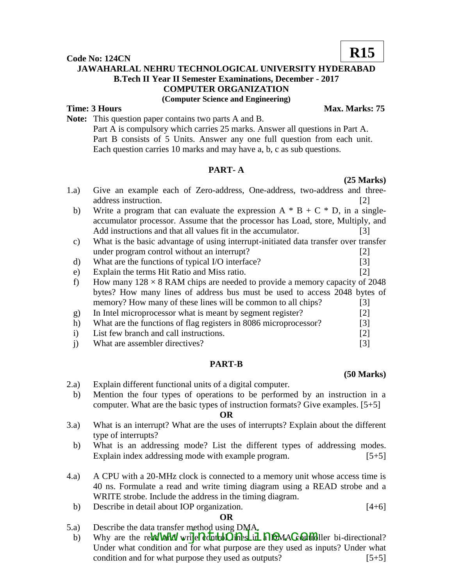**Code No: 124CN JAWAHARLAL NEHRU TECHNOLOGICAL UNIVERSITY HYDERABAD B.Tech II Year II Semester Examinations, December - 2017 COMPUTER ORGANIZATION (Computer Science and Engineering)**

## **Time: 3 Hours Max. Marks: 75**

**Note:** This question paper contains two parts A and B. Part A is compulsory which carries 25 marks. Answer all questions in Part A.

Part B consists of 5 Units. Answer any one full question from each unit. Each question carries 10 marks and may have a, b, c as sub questions.

#### **PART- A**

- 1.a) Give an example each of Zero-address, One-address, two-address and threeaddress instruction. [2] and the same state of the same state of the same state of the same state of the same state of the same state of the same state of the same state of the same state of the same state of the same stat
	- b) Write a program that can evaluate the expression  $A * B + C * D$ , in a singleaccumulator processor. Assume that the processor has Load, store, Multiply, and Add instructions and that all values fit in the accumulator. [3]
	- c) What is the basic advantage of using interrupt-initiated data transfer over transfer under program control without an interrupt? [2]
	- d) What are the functions of typical I/O interface? [3]
	- e) Explain the terms Hit Ratio and Miss ratio. [2]
	- f) How many  $128 \times 8$  RAM chips are needed to provide a memory capacity of 2048 bytes? How many lines of address bus must be used to access 2048 bytes of memory? How many of these lines will be common to all chips? [3]
	- g) In Intel microprocessor what is meant by segment register? [2] h) What are the functions of flag registers in 8086 microprocessor? [3] i) List few branch and call instructions. [2]
- j) What are assembler directives? [3]

# **PART-B**

- 2.a) Explain different functional units of a digital computer.
- b) Mention the four types of operations to be performed by an instruction in a computer. What are the basic types of instruction formats? Give examples. [5+5]

#### **OR**

- 3.a) What is an interrupt? What are the uses of interrupts? Explain about the different type of interrupts?
	- b) What is an addressing mode? List the different types of addressing modes. Explain index addressing mode with example program. [5+5]
- 4.a) A CPU with a 20-MHz clock is connected to a memory unit whose access time is 40 ns. Formulate a read and write timing diagram using a READ strobe and a WRITE strobe. Include the address in the timing diagram.
- b) Describe in detail about IOP organization. [4+6]

### **OR**

- 5.a) Describe the data transfer method using DMA.
- b) Why are the re**w lanser means asing Dinning and MAC controller** bi-directional? Under what condition and for what purpose are they used as inputs? Under what condition and for what purpose they used as outputs?  $[5+5]$

**(50 Marks)**

**(25 Marks)**